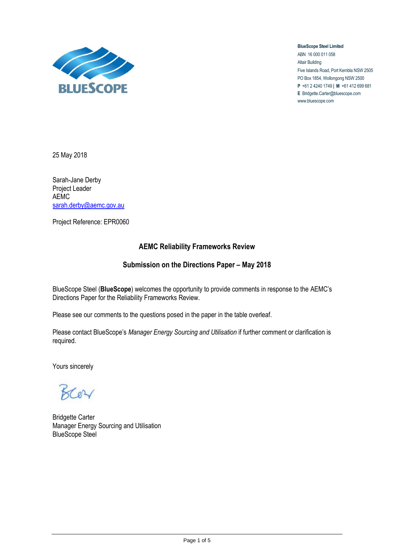

**BlueScope Steel Limited** ABN 16 000 011 058 Altair Building Five Islands Road, Port Kembla NSW 2505 PO Box 1854, Wollongong NSW 2500 **P** +61 2 4240 1749 **| M** +61 412 699 681 **E** Bridgette.Carter@bluescope.com www.bluescope.com

25 May 2018

Sarah-Jane Derby Project Leader AEMC [sarah.derby@aemc.gov.au](mailto:sarah.derby@aemc.gov.au)

Project Reference: EPR0060

## **AEMC Reliability Frameworks Review**

## **Submission on the Directions Paper – May 2018**

BlueScope Steel (**BlueScope**) welcomes the opportunity to provide comments in response to the AEMC's Directions Paper for the Reliability Frameworks Review.

Please see our comments to the questions posed in the paper in the table overleaf.

Please contact BlueScope's *Manager Energy Sourcing and Utilisation* if further comment or clarification is required.

Yours sincerely

BCOY

Bridgette Carter Manager Energy Sourcing and Utilisation BlueScope Steel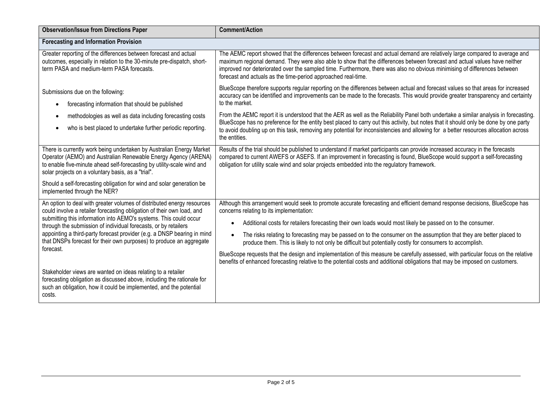| <b>Observation/Issue from Directions Paper</b>                                                                                                                                                                                                                                                                                                                                                                                                          | <b>Comment/Action</b>                                                                                                                                                                                                                                                                                                                                                                                                                                                                                                                                                                                                                                                                                                                                                                            |  |
|---------------------------------------------------------------------------------------------------------------------------------------------------------------------------------------------------------------------------------------------------------------------------------------------------------------------------------------------------------------------------------------------------------------------------------------------------------|--------------------------------------------------------------------------------------------------------------------------------------------------------------------------------------------------------------------------------------------------------------------------------------------------------------------------------------------------------------------------------------------------------------------------------------------------------------------------------------------------------------------------------------------------------------------------------------------------------------------------------------------------------------------------------------------------------------------------------------------------------------------------------------------------|--|
| <b>Forecasting and Information Provision</b>                                                                                                                                                                                                                                                                                                                                                                                                            |                                                                                                                                                                                                                                                                                                                                                                                                                                                                                                                                                                                                                                                                                                                                                                                                  |  |
| Greater reporting of the differences between forecast and actual<br>outcomes, especially in relation to the 30-minute pre-dispatch, short-<br>term PASA and medium-term PASA forecasts.                                                                                                                                                                                                                                                                 | The AEMC report showed that the differences between forecast and actual demand are relatively large compared to average and<br>maximum regional demand. They were also able to show that the differences between forecast and actual values have neither<br>improved nor deteriorated over the sampled time. Furthermore, there was also no obvious minimising of differences between<br>forecast and actuals as the time-period approached real-time.                                                                                                                                                                                                                                                                                                                                           |  |
| Submissions due on the following:<br>forecasting information that should be published                                                                                                                                                                                                                                                                                                                                                                   | BlueScope therefore supports regular reporting on the differences between actual and forecast values so that areas for increased<br>accuracy can be identified and improvements can be made to the forecasts. This would provide greater transparency and certainty<br>to the market.                                                                                                                                                                                                                                                                                                                                                                                                                                                                                                            |  |
| methodologies as well as data including forecasting costs<br>who is best placed to undertake further periodic reporting.                                                                                                                                                                                                                                                                                                                                | From the AEMC report it is understood that the AER as well as the Reliability Panel both undertake a similar analysis in forecasting.<br>BlueScope has no preference for the entity best placed to carry out this activity, but notes that it should only be done by one party<br>to avoid doubling up on this task, removing any potential for inconsistencies and allowing for a better resources allocation across<br>the entities.                                                                                                                                                                                                                                                                                                                                                           |  |
| There is currently work being undertaken by Australian Energy Market<br>Operator (AEMO) and Australian Renewable Energy Agency (ARENA)<br>to enable five-minute ahead self-forecasting by utility-scale wind and<br>solar projects on a voluntary basis, as a "trial".<br>Should a self-forecasting obligation for wind and solar generation be<br>implemented through the NER?                                                                         | Results of the trial should be published to understand if market participants can provide increased accuracy in the forecasts<br>compared to current AWEFS or ASEFS. If an improvement in forecasting is found, BlueScope would support a self-forecasting<br>obligation for utility scale wind and solar projects embedded into the regulatory framework.                                                                                                                                                                                                                                                                                                                                                                                                                                       |  |
| An option to deal with greater volumes of distributed energy resources<br>could involve a retailer forecasting obligation of their own load, and<br>submitting this information into AEMO's systems. This could occur<br>through the submission of individual forecasts, or by retailers<br>appointing a third-party forecast provider (e.g. a DNSP bearing in mind<br>that DNSPs forecast for their own purposes) to produce an aggregate<br>forecast. | Although this arrangement would seek to promote accurate forecasting and efficient demand response decisions, BlueScope has<br>concerns relating to its implementation:<br>Additional costs for retailers forecasting their own loads would most likely be passed on to the consumer.<br>The risks relating to forecasting may be passed on to the consumer on the assumption that they are better placed to<br>produce them. This is likely to not only be difficult but potentially costly for consumers to accomplish.<br>BlueScope requests that the design and implementation of this measure be carefully assessed, with particular focus on the relative<br>benefits of enhanced forecasting relative to the potential costs and additional obligations that may be imposed on customers. |  |
| Stakeholder views are wanted on ideas relating to a retailer<br>forecasting obligation as discussed above, including the rationale for<br>such an obligation, how it could be implemented, and the potential<br>costs.                                                                                                                                                                                                                                  |                                                                                                                                                                                                                                                                                                                                                                                                                                                                                                                                                                                                                                                                                                                                                                                                  |  |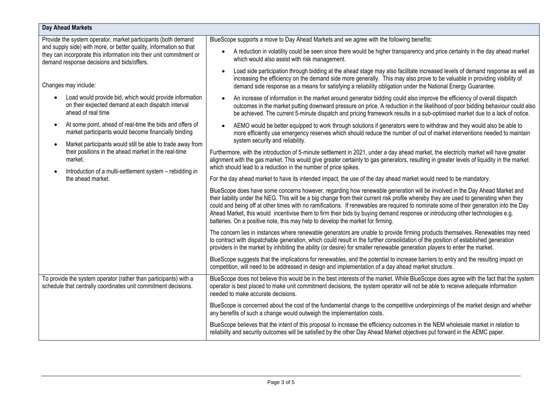| Day Ahead Markets                                                                                                                                                                                                                                                                |                                                                                                                                                                                                                                                                                                                                                                                                                                                                                                                                                                                                                                    |
|----------------------------------------------------------------------------------------------------------------------------------------------------------------------------------------------------------------------------------------------------------------------------------|------------------------------------------------------------------------------------------------------------------------------------------------------------------------------------------------------------------------------------------------------------------------------------------------------------------------------------------------------------------------------------------------------------------------------------------------------------------------------------------------------------------------------------------------------------------------------------------------------------------------------------|
| Provide the system operator, market participants (both demand<br>and supply side) with more, or better quality, information so that<br>they can incorporate this information into their unit commitment or<br>demand response decisions and bids/offers.<br>Changes may include: | BlueScope supports a move to Day Ahead Markets and we agree with the following benefits:                                                                                                                                                                                                                                                                                                                                                                                                                                                                                                                                           |
|                                                                                                                                                                                                                                                                                  | A reduction in volatility could be seen since there would be higher transparency and price certainty in the day ahead market<br>which would also assist with risk management.                                                                                                                                                                                                                                                                                                                                                                                                                                                      |
|                                                                                                                                                                                                                                                                                  | Load side participation through bidding at the ahead stage may also facilitate increased levels of demand response as well as<br>increasing the efficiency on the demand side more generally. This may also prove to be valuable in providing visibility of<br>demand side response as a means for satisfying a reliability obligation under the National Energy Guarantee.                                                                                                                                                                                                                                                        |
| Load would provide bid, which would provide information<br>on their expected demand at each dispatch interval<br>ahead of real time                                                                                                                                              | An increase of information in the market around generator bidding could also improve the efficiency of overall dispatch<br>outcomes in the market putting downward pressure on price. A reduction in the likelihood of poor bidding behaviour could also<br>be achieved. The current 5-minute dispatch and pricing framework results in a sub-optimised market due to a lack of notice.                                                                                                                                                                                                                                            |
| At some point, ahead of real-time the bids and offers of<br>$\bullet$<br>market participants would become financially binding                                                                                                                                                    | AEMO would be better equipped to work through solutions if generators were to withdraw and they would also be able to<br>more efficiently use emergency reserves which should reduce the number of out of market interventions needed to maintain                                                                                                                                                                                                                                                                                                                                                                                  |
| Market participants would still be able to trade away from<br>$\bullet$                                                                                                                                                                                                          | system security and reliability.                                                                                                                                                                                                                                                                                                                                                                                                                                                                                                                                                                                                   |
| their positions in the ahead market in the real-time<br>market.<br>Introduction of a multi-settlement system - rebidding in<br>the ahead market.                                                                                                                                 | Furthermore, with the introduction of 5-minute settlement in 2021, under a day ahead market, the electricity market will have greater<br>alignment with the gas market. This would give greater certainty to gas generators, resulting in greater levels of liquidity in the market<br>which should lead to a reduction in the number of price spikes.                                                                                                                                                                                                                                                                             |
|                                                                                                                                                                                                                                                                                  | For the day ahead market to have its intended impact, the use of the day ahead market would need to be mandatory.                                                                                                                                                                                                                                                                                                                                                                                                                                                                                                                  |
|                                                                                                                                                                                                                                                                                  | BlueScope does have some concerns however, regarding how renewable generation will be involved in the Day Ahead Market and<br>their liability under the NEG. This will be a big change from their current risk profile whereby they are used to generating when they<br>could and being off at other times with no ramifications. If renewables are required to nominate some of their generation into the Day<br>Ahead Market, this would incentivise them to firm their bids by buying demand response or introducing other technologies e.g.<br>batteries. On a positive note, this may help to develop the market for firming. |
|                                                                                                                                                                                                                                                                                  | The concern lies in instances where renewable generators are unable to provide firming products themselves. Renewables may need<br>to contract with dispatchable generation, which could result in the further consolidation of the position of established generation<br>providers in the market by inhibiting the ability (or desire) for smaller renewable generation players to enter the market.                                                                                                                                                                                                                              |
|                                                                                                                                                                                                                                                                                  | BlueScope suggests that the implications for renewables, and the potential to increase barriers to entry and the resulting impact on<br>competition, will need to be addressed in design and implementation of a day ahead market structure.                                                                                                                                                                                                                                                                                                                                                                                       |
| To provide the system operator (rather than participants) with a<br>schedule that centrally coordinates unit commitment decisions.                                                                                                                                               | BlueScope does not believe this would be in the best interests of the market. While BlueScope does agree with the fact that the system<br>operator is best placed to make unit commitment decisions, the system operator will not be able to receive adequate information<br>needed to make accurate decisions.                                                                                                                                                                                                                                                                                                                    |
|                                                                                                                                                                                                                                                                                  | BlueScope is concerned about the cost of the fundamental change to the competitive underpinnings of the market design and whether<br>any benefits of such a change would outweigh the implementation costs.                                                                                                                                                                                                                                                                                                                                                                                                                        |
|                                                                                                                                                                                                                                                                                  | BlueScope believes that the intent of this proposal to increase the efficiency outcomes in the NEM wholesale market in relation to<br>reliability and security outcomes will be satisfied by the other Day Ahead Market objectives put forward in the AEMC paper.                                                                                                                                                                                                                                                                                                                                                                  |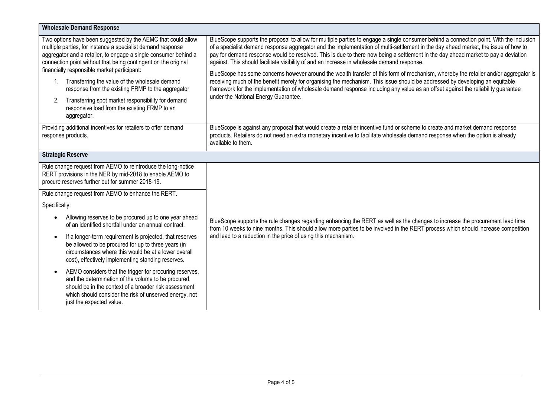| <b>Wholesale Demand Response</b>                                                                                                                                                                                                                                                                                                                                                                                                                                                                                                                     |                                                                                                                                                                                                                                                                                                                                                                                                                                                                                                                                                                                                                                                                                                                                                                                                                                                                                                                                                                      |  |
|------------------------------------------------------------------------------------------------------------------------------------------------------------------------------------------------------------------------------------------------------------------------------------------------------------------------------------------------------------------------------------------------------------------------------------------------------------------------------------------------------------------------------------------------------|----------------------------------------------------------------------------------------------------------------------------------------------------------------------------------------------------------------------------------------------------------------------------------------------------------------------------------------------------------------------------------------------------------------------------------------------------------------------------------------------------------------------------------------------------------------------------------------------------------------------------------------------------------------------------------------------------------------------------------------------------------------------------------------------------------------------------------------------------------------------------------------------------------------------------------------------------------------------|--|
| Two options have been suggested by the AEMC that could allow<br>multiple parties, for instance a specialist demand response<br>aggregator and a retailer, to engage a single consumer behind a<br>connection point without that being contingent on the original<br>financially responsible market participant:<br>1. Transferring the value of the wholesale demand<br>response from the existing FRMP to the aggregator<br>Transferring spot market responsibility for demand<br>2.<br>responsive load from the existing FRMP to an<br>aggregator. | BlueScope supports the proposal to allow for multiple parties to engage a single consumer behind a connection point. With the inclusion<br>of a specialist demand response aggregator and the implementation of multi-settlement in the day ahead market, the issue of how to<br>pay for demand response would be resolved. This is due to there now being a settlement in the day ahead market to pay a deviation<br>against. This should facilitate visibility of and an increase in wholesale demand response.<br>BlueScope has some concerns however around the wealth transfer of this form of mechanism, whereby the retailer and/or aggregator is<br>receiving much of the benefit merely for organising the mechanism. This issue should be addressed by developing an equitable<br>framework for the implementation of wholesale demand response including any value as an offset against the reliability guarantee<br>under the National Energy Guarantee. |  |
| Providing additional incentives for retailers to offer demand<br>response products.                                                                                                                                                                                                                                                                                                                                                                                                                                                                  | BlueScope is against any proposal that would create a retailer incentive fund or scheme to create and market demand response<br>products. Retailers do not need an extra monetary incentive to facilitate wholesale demand response when the option is already<br>available to them.                                                                                                                                                                                                                                                                                                                                                                                                                                                                                                                                                                                                                                                                                 |  |
| <b>Strategic Reserve</b>                                                                                                                                                                                                                                                                                                                                                                                                                                                                                                                             |                                                                                                                                                                                                                                                                                                                                                                                                                                                                                                                                                                                                                                                                                                                                                                                                                                                                                                                                                                      |  |
| Rule change request from AEMO to reintroduce the long-notice<br>RERT provisions in the NER by mid-2018 to enable AEMO to<br>procure reserves further out for summer 2018-19.                                                                                                                                                                                                                                                                                                                                                                         |                                                                                                                                                                                                                                                                                                                                                                                                                                                                                                                                                                                                                                                                                                                                                                                                                                                                                                                                                                      |  |
| Rule change request from AEMO to enhance the RERT.                                                                                                                                                                                                                                                                                                                                                                                                                                                                                                   |                                                                                                                                                                                                                                                                                                                                                                                                                                                                                                                                                                                                                                                                                                                                                                                                                                                                                                                                                                      |  |
| Specifically:                                                                                                                                                                                                                                                                                                                                                                                                                                                                                                                                        |                                                                                                                                                                                                                                                                                                                                                                                                                                                                                                                                                                                                                                                                                                                                                                                                                                                                                                                                                                      |  |
| Allowing reserves to be procured up to one year ahead<br>$\bullet$<br>of an identified shortfall under an annual contract.                                                                                                                                                                                                                                                                                                                                                                                                                           | BlueScope supports the rule changes regarding enhancing the RERT as well as the changes to increase the procurement lead time<br>from 10 weeks to nine months. This should allow more parties to be involved in the RERT process which should increase competition                                                                                                                                                                                                                                                                                                                                                                                                                                                                                                                                                                                                                                                                                                   |  |
| If a longer-term requirement is projected, that reserves<br>$\bullet$<br>be allowed to be procured for up to three years (in<br>circumstances where this would be at a lower overall<br>cost), effectively implementing standing reserves.                                                                                                                                                                                                                                                                                                           | and lead to a reduction in the price of using this mechanism.                                                                                                                                                                                                                                                                                                                                                                                                                                                                                                                                                                                                                                                                                                                                                                                                                                                                                                        |  |
| AEMO considers that the trigger for procuring reserves,<br>$\bullet$<br>and the determination of the volume to be procured,<br>should be in the context of a broader risk assessment<br>which should consider the risk of unserved energy, not<br>just the expected value.                                                                                                                                                                                                                                                                           |                                                                                                                                                                                                                                                                                                                                                                                                                                                                                                                                                                                                                                                                                                                                                                                                                                                                                                                                                                      |  |